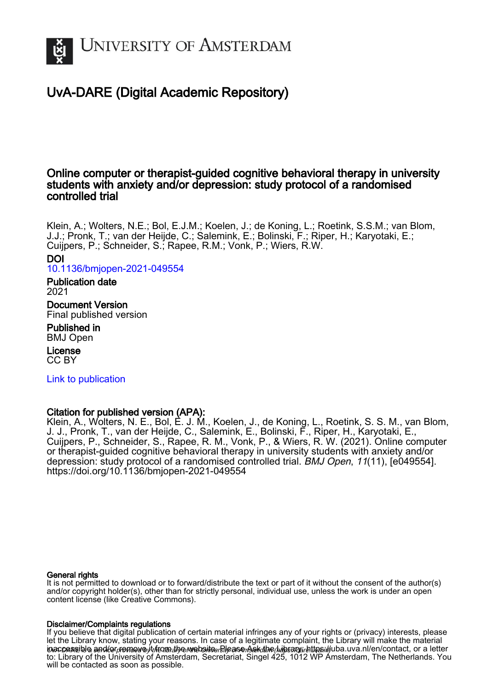

## UvA-DARE (Digital Academic Repository)

### Online computer or therapist-guided cognitive behavioral therapy in university students with anxiety and/or depression: study protocol of a randomised controlled trial

Klein, A.; Wolters, N.E.; Bol, E.J.M.; Koelen, J.; de Koning, L.; Roetink, S.S.M.; van Blom, J.J.; Pronk, T.; van der Heijde, C.; Salemink, E.; Bolinski, F.; Riper, H.; Karyotaki, E.; Cuijpers, P.; Schneider, S.; Rapee, R.M.; Vonk, P.; Wiers, R.W.

DOI

[10.1136/bmjopen-2021-049554](https://doi.org/10.1136/bmjopen-2021-049554)

#### Publication date 2021

Document Version Final published version

Published in BMJ Open

License CC BY

[Link to publication](https://dare.uva.nl/personal/pure/en/publications/online-computer-or-therapistguided-cognitive-behavioral-therapy-in-university-students-with-anxiety-andor-depression-study-protocol-of-a-randomised-controlled-trial(675fb800-e777-466b-ad69-75dabcf6a38e).html)

#### Citation for published version (APA):

Klein, A., Wolters, N. E., Bol, E. J. M., Koelen, J., de Koning, L., Roetink, S. S. M., van Blom, J. J., Pronk, T., van der Heijde, C., Salemink, E., Bolinski, F., Riper, H., Karyotaki, E., Cuijpers, P., Schneider, S., Rapee, R. M., Vonk, P., & Wiers, R. W. (2021). Online computer or therapist-guided cognitive behavioral therapy in university students with anxiety and/or depression: study protocol of a randomised controlled trial. BMJ Open, 11(11), [e049554]. <https://doi.org/10.1136/bmjopen-2021-049554>

#### General rights

It is not permitted to download or to forward/distribute the text or part of it without the consent of the author(s) and/or copyright holder(s), other than for strictly personal, individual use, unless the work is under an open content license (like Creative Commons).

#### Disclaimer/Complaints regulations

i**naccessible and/or remove** it from the website. Blease Ask the Library: https://uba.uva.nl/en/contact, or a letter If you believe that digital publication of certain material infringes any of your rights or (privacy) interests, please let the Library know, stating your reasons. In case of a legitimate complaint, the Library will make the material to: Library of the University of Amsterdam, Secretariat, Singel 425, 1012 WP Amsterdam, The Netherlands. You will be contacted as soon as possible.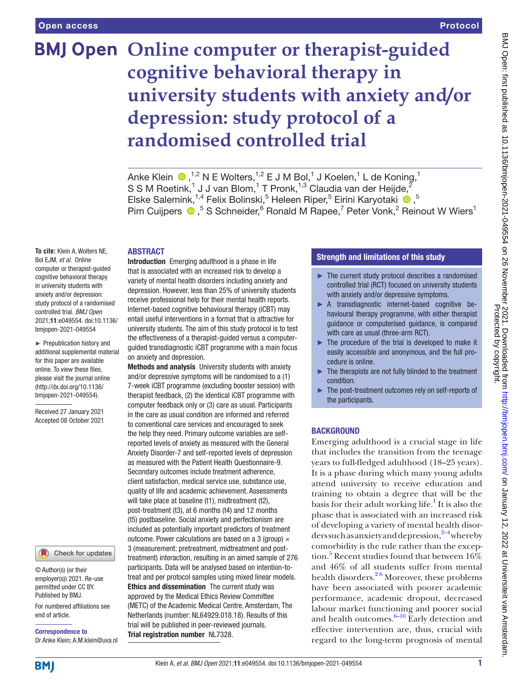# **BMJ Open Online computer or therapist-guided cognitive behavioral therapy in university students with anxiety and/or depression: study protocol of a randomised controlled trial**

AnkeKlein  $\bigcirc$  ,<sup>1,2</sup> N E Wolters,<sup>1,2</sup> E J M Bol,<sup>1</sup> J Koelen,<sup>1</sup> L de Koning,<sup>1</sup> S S M Roetink, $^1$  J J van Blom, $^1$  T Pronk, $^{1,3}$  Claudia van der Heijde, $^2$ Elske Salemink,<sup>1,4</sup> Felix Bolinski,<sup>5</sup> Heleen Riper,<sup>5</sup> Eirini Karyotaki <sup>®</sup>,<sup>5</sup> PimCuijpers  $\bullet$ , <sup>5</sup> S Schneider, <sup>6</sup> Ronald M Rapee, <sup>7</sup> Peter Vonk, <sup>2</sup> Reinout W Wiers<sup>1</sup>

#### **ABSTRACT**

**To cite:** Klein A, Wolters NE, Bol EJM, *et al*. Online computer or therapist-guided cognitive behavioral therapy in university students with anxiety and/or depression: study protocol of a randomised controlled trial. *BMJ Open* 2021;11:e049554. doi:10.1136/ bmjopen-2021-049554

► Prepublication history and additional supplemental material for this paper are available online. To view these files, please visit the journal online [\(http://dx.doi.org/10.1136/](http://dx.doi.org/10.1136/bmjopen-2021-049554) [bmjopen-2021-049554](http://dx.doi.org/10.1136/bmjopen-2021-049554)).

Received 27 January 2021 Accepted 08 October 2021

#### Check for updates

© Author(s) (or their employer(s)) 2021. Re-use permitted under CC BY. Published by BMJ.

For numbered affiliations see end of article.

Correspondence to Dr Anke Klein; A.M.klein@uva.nl Introduction Emerging adulthood is a phase in life that is associated with an increased risk to develop a variety of mental health disorders including anxiety and depression. However, less than 25% of university students receive professional help for their mental health reports. Internet-based cognitive behavioural therapy (iCBT) may entail useful interventions in a format that is attractive for university students. The aim of this study protocol is to test the effectiveness of a therapist-guided versus a computerguided transdiagnostic iCBT programme with a main focus on anxiety and depression.

Methods and analysis University students with anxiety and/or depressive symptoms will be randomised to a (1) 7-week iCBT programme (excluding booster session) with therapist feedback, (2) the identical iCBT programme with computer feedback only or (3) care as usual. Participants in the care as usual condition are informed and referred to conventional care services and encouraged to seek the help they need. Primary outcome variables are selfreported levels of anxiety as measured with the General Anxiety Disorder-7 and self-reported levels of depression as measured with the Patient Health Questionnaire-9. Secondary outcomes include treatment adherence, client satisfaction, medical service use, substance use, quality of life and academic achievement. Assessments will take place at baseline (t1), midtreatment (t2), post-treatment (t3), at 6 months (t4) and 12 months (t5) postbaseline. Social anxiety and perfectionism are included as potentially important predictors of treatment outcome. Power calculations are based on a 3 (group)  $\times$ 3 (measurement: pretreatment, midtreatment and posttreatment) interaction, resulting in an aimed sample of 276 participants. Data will be analysed based on intention-totreat and per protocol samples using mixed linear models. Ethics and dissemination The current study was approved by the Medical Ethics Review Committee (METC) of the Academic Medical Centre, Amsterdam, The Netherlands (number: NL64929.018.18). Results of this trial will be published in peer-reviewed journals. Trial registration number NL7328.

#### Strength and limitations of this study

- ► The current study protocol describes a randomised controlled trial (RCT) focused on university students with anxiety and/or depressive symptoms.
- ► A transdiagnostic internet-based cognitive behavioural therapy programme, with either therapist guidance or computerised guidance, is compared with care as usual (three-arm RCT).
- ► The procedure of the trial is developed to make it easily accessible and anonymous, and the full procedure is online.
- ► The therapists are not fully blinded to the treatment condition.
- The post-treatment outcomes rely on self-reports of the participants.

#### **BACKGROUND**

Emerging adulthood is a crucial stage in life that includes the transition from the teenage years to full-fledged adulthood (18–25 years). It is a phase during which many young adults attend university to receive education and training to obtain a degree that will be the basis for their adult working life.<sup>[1](#page-8-0)</sup> It is also the phase that is associated with an increased risk of developing a variety of mental health disorders such as anxiety and depression,  $2^{-4}$  whereby comorbidity is the rule rather than the excep-tion.<sup>[5](#page-8-2)</sup> Recent studies found that between  $16\%$ and 46% of all students suffer from mental health disorders. $2<sup>6</sup>$  Moreover, these problems have been associated with poorer academic performance, academic dropout, decreased labour market functioning and poorer social and health outcomes. $6-10$  Early detection and effective intervention are, thus, crucial with regard to the long-term prognosis of mental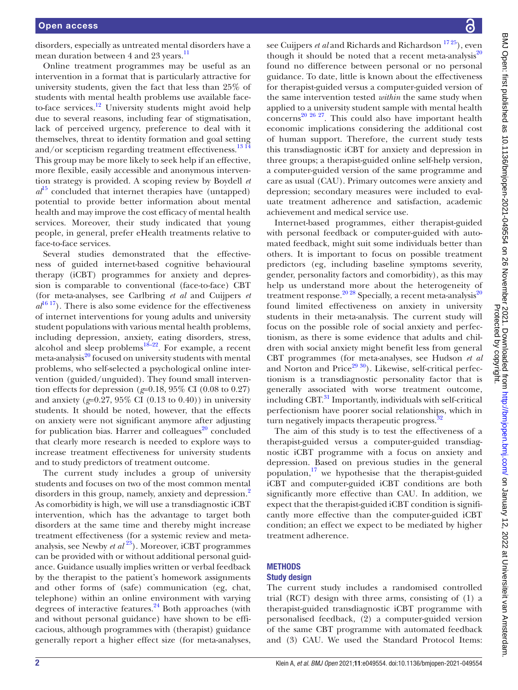disorders, especially as untreated mental disorders have a mean duration between 4 and 23 years.<sup>11</sup>

Online treatment programmes may be useful as an intervention in a format that is particularly attractive for university students, given the fact that less than 25% of students with mental health problems use available faceto-face services.<sup>12</sup> University students might avoid help due to several reasons, including fear of stigmatisation, lack of perceived urgency, preference to deal with it themselves, threat to identity formation and goal setting and/or scepticism regarding treatment effectiveness.<sup>[13 14](#page-8-6)</sup> This group may be more likely to seek help if an effective, more flexible, easily accessible and anonymous intervention strategy is provided. A scoping review by Boydell *et*   $a^{15}$  concluded that internet therapies have (untapped) potential to provide better information about mental health and may improve the cost efficacy of mental health services. Moreover, their study indicated that young people, in general, prefer eHealth treatments relative to face-to-face services.

Several studies demonstrated that the effectiveness of guided internet-based cognitive behavioural therapy (iCBT) programmes for anxiety and depression is comparable to conventional (face-to-face) CBT (for meta-analyses, see Carlbring *et al* and Cuijpers *et*   $a^{16}$ <sup>17</sup>). There is also some evidence for the effectiveness of internet interventions for young adults and university student populations with various mental health problems, including depression, anxiety, eating disorders, stress, alcohol and sleep problems $18-22$ . For example, a recent meta-analysis<sup>20</sup> focused on university students with mental problems, who self-selected a psychological online intervention (guided/unguided). They found small intervention effects for depression (*g*=0.18, 95% CI (0.08 to 0.27) and anxiety ( $g=0.27$ ,  $95\%$  CI (0.13 to 0.40)) in university students. It should be noted, however, that the effects on anxiety were not significant anymore after adjusting for publication bias. Harrer and colleagues $^{20}$  concluded that clearly more research is needed to explore ways to increase treatment effectiveness for university students and to study predictors of treatment outcome.

The current study includes a group of university students and focuses on two of the most common mental disorders in this group, namely, anxiety and depression.<sup>[2](#page-8-1)</sup> As comorbidity is high, we will use a transdiagnostic iCBT intervention, which has the advantage to target both disorders at the same time and thereby might increase treatment effectiveness (for a systemic review and metaanalysis, see Newby *et al*<sup>23</sup>). Moreover, iCBT programmes can be provided with or without additional personal guidance. Guidance usually implies written or verbal feedback by the therapist to the patient's homework assignments and other forms of (safe) communication (eg, chat, telephone) within an online environment with varying degrees of interactive features. $24$  Both approaches (with and without personal guidance) have shown to be efficacious, although programmes with (therapist) guidance generally report a higher effect size (for meta-analyses,

see Cuijpers *et al* and Richards and Richardson <sup>1725</sup>), even though it should be noted that a recent meta-analysis<sup>[20](#page-9-3)</sup> found no difference between personal or no personal guidance. To date, little is known about the effectiveness for therapist-guided versus a computer-guided version of the same intervention tested *within* the same study when applied to a university student sample with mental health  $\frac{20 \times 26 \times 27}{26 \times 27}$ . This could also have important health economic implications considering the additional cost of human support. Therefore, the current study tests this transdiagnostic iCBT for anxiety and depression in three groups; a therapist-guided online self-help version, a computer-guided version of the same programme and care as usual (CAU). Primary outcomes were anxiety and depression; secondary measures were included to evaluate treatment adherence and satisfaction, academic achievement and medical service use.

Internet-based programmes, either therapist-guided with personal feedback or computer-guided with automated feedback, might suit some individuals better than others. It is important to focus on possible treatment predictors (eg, including baseline symptoms severity, gender, personality factors and comorbidity), as this may help us understand more about the heterogeneity of treatment response.<sup>[20](#page-9-3) 28</sup> Specially, a recent meta-analysis<sup>20</sup> found limited effectiveness on anxiety in university students in their meta-analysis. The current study will focus on the possible role of social anxiety and perfectionism, as there is some evidence that adults and children with social anxiety might benefit less from general CBT programmes (for meta-analyses, see Hudson *et al* and Norton and Price $^{29\,30}$ ). Likewise, self-critical perfectionism is a transdiagnostic personality factor that is generally associated with worse treatment outcome, including  $CBT<sup>31</sup>$  $CBT<sup>31</sup>$  $CBT<sup>31</sup>$  Importantly, individuals with self-critical perfectionism have poorer social relationships, which in turn negatively impacts therapeutic progress.<sup>3</sup>

The aim of this study is to test the effectiveness of a therapist-guided versus a computer-guided transdiagnostic iCBT programme with a focus on anxiety and depression. Based on previous studies in the general population, $17$  we hypothesise that the therapist-guided iCBT and computer-guided iCBT conditions are both significantly more effective than CAU. In addition, we expect that the therapist-guided iCBT condition is significantly more effective than the computer-guided iCBT condition; an effect we expect to be mediated by higher treatment adherence.

#### **METHODS**

#### Study design

The current study includes a randomised controlled trial (RCT) design with three arms, consisting of (1) a therapist-guided transdiagnostic iCBT programme with personalised feedback, (2) a computer-guided version of the same CBT programme with automated feedback and (3) CAU. We used the Standard Protocol Items: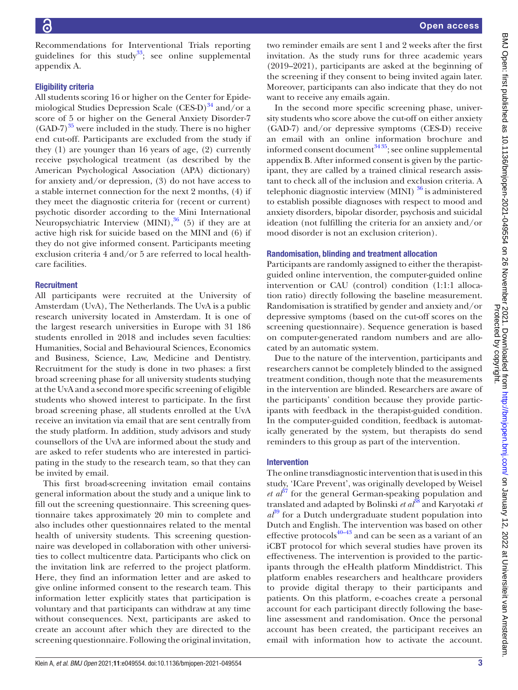Recommendations for Interventional Trials reporting guidelines for this study<sup>33</sup>; see [online supplemental](https://dx.doi.org/10.1136/bmjopen-2021-049554) [appendix A.](https://dx.doi.org/10.1136/bmjopen-2021-049554)

#### Eligibility criteria

All students scoring 16 or higher on the Center for Epidemiological Studies Depression Scale (CES-D) $^{34}$  $^{34}$  $^{34}$  and/or a score of 5 or higher on the General Anxiety Disorder-7  $(GAD-7)^{35}$  were included in the study. There is no higher end cut-off. Participants are excluded from the study if they (1) are younger than 16 years of age, (2) currently receive psychological treatment (as described by the American Psychological Association (APA) dictionary) for anxiety and/or depression, (3) do not have access to a stable internet connection for the next 2 months, (4) if they meet the diagnostic criteria for (recent or current) psychotic disorder according to the Mini International Neuropsychiatric Interview (MINI), $36$  (5) if they are at active high risk for suicide based on the MINI and (6) if they do not give informed consent. Participants meeting exclusion criteria 4 and/or 5 are referred to local healthcare facilities.

#### **Recruitment**

All participants were recruited at the University of Amsterdam (UvA), The Netherlands. The UvA is a public research university located in Amsterdam. It is one of the largest research universities in Europe with 31 186 students enrolled in 2018 and includes seven faculties: Humanities, Social and Behavioural Sciences, Economics and Business, Science, Law, Medicine and Dentistry. Recruitment for the study is done in two phases: a first broad screening phase for all university students studying at the UvA and a second more specific screening of eligible students who showed interest to participate. In the first broad screening phase, all students enrolled at the UvA receive an invitation via email that are sent centrally from the study platform. In addition, study advisors and study counsellors of the UvA are informed about the study and are asked to refer students who are interested in participating in the study to the research team, so that they can be invited by email.

This first broad-screening invitation email contains general information about the study and a unique link to fill out the screening questionnaire. This screening questionnaire takes approximately 20 min to complete and also includes other questionnaires related to the mental health of university students. This screening questionnaire was developed in collaboration with other universities to collect multicentre data. Participants who click on the invitation link are referred to the project platform. Here, they find an information letter and are asked to give online informed consent to the research team. This information letter explicitly states that participation is voluntary and that participants can withdraw at any time without consequences. Next, participants are asked to create an account after which they are directed to the screening questionnaire. Following the original invitation,

two reminder emails are sent 1 and 2 weeks after the first invitation. As the study runs for three academic years (2019–2021), participants are asked at the beginning of the screening if they consent to being invited again later. Moreover, participants can also indicate that they do not want to receive any emails again.

In the second more specific screening phase, university students who score above the cut-off on either anxiety (GAD-7) and/or depressive symptoms (CES-D) receive an email with an online information brochure and informed consent document $3435$ ; see online supplemental [appendix B.](https://dx.doi.org/10.1136/bmjopen-2021-049554) After informed consent is given by the participant, they are called by a trained clinical research assistant to check all of the inclusion and exclusion criteria. A telephonic diagnostic interview (MINI)  $36$  is administered to establish possible diagnoses with respect to mood and anxiety disorders, bipolar disorder, psychosis and suicidal ideation (not fulfilling the criteria for an anxiety and/or mood disorder is not an exclusion criterion).

#### Randomisation, blinding and treatment allocation

Participants are randomly assigned to either the therapistguided online intervention, the computer-guided online intervention or CAU (control) condition (1:1:1 allocation ratio) directly following the baseline measurement. Randomisation is stratified by gender and anxiety and/or depressive symptoms (based on the cut-off scores on the screening questionnaire). Sequence generation is based on computer-generated random numbers and are allocated by an automatic system.

Due to the nature of the intervention, participants and researchers cannot be completely blinded to the assigned treatment condition, though note that the measurements in the intervention are blinded. Researchers are aware of the participants' condition because they provide participants with feedback in the therapist-guided condition. In the computer-guided condition, feedback is automatically generated by the system, but therapists do send reminders to this group as part of the intervention.

#### Intervention

The online transdiagnostic intervention that is used in this study, 'ICare Prevent', was originally developed by Weisel *et*  $a^{37}$  $a^{37}$  $a^{37}$  for the general German-speaking population and translated and adapted by Bolinski *et al*<sup>[38](#page-9-15)</sup> and Karyotaki *et*  $a^{39}$  for a Dutch undergraduate student population into Dutch and English. The intervention was based on other effective protocols $40-43$  and can be seen as a variant of an iCBT protocol for which several studies have proven its effectiveness. The intervention is provided to the participants through the eHealth platform Minddistrict. This platform enables researchers and healthcare providers to provide digital therapy to their participants and patients. On this platform, e-coaches create a personal account for each participant directly following the baseline assessment and randomisation. Once the personal account has been created, the participant receives an email with information how to activate the account.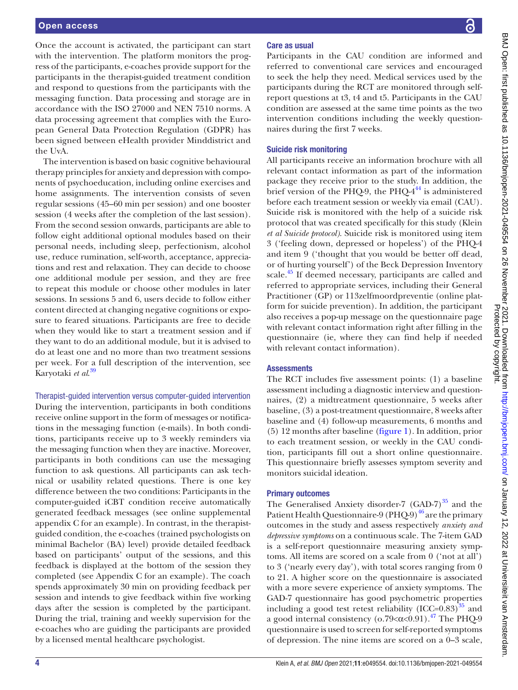Once the account is activated, the participant can start with the intervention. The platform monitors the progress of the participants, e-coaches provide support for the participants in the therapist-guided treatment condition and respond to questions from the participants with the messaging function. Data processing and storage are in accordance with the ISO 27000 and NEN 7510 norms. A data processing agreement that complies with the European General Data Protection Regulation (GDPR) has been signed between eHealth provider Minddistrict and the UvA.

The intervention is based on basic cognitive behavioural therapy principles for anxiety and depression with components of psychoeducation, including online exercises and home assignments. The intervention consists of seven regular sessions (45–60 min per session) and one booster session (4 weeks after the completion of the last session). From the second session onwards, participants are able to follow eight additional optional modules based on their personal needs, including sleep, perfectionism, alcohol use, reduce rumination, self-worth, acceptance, appreciations and rest and relaxation. They can decide to choose one additional module per session, and they are free to repeat this module or choose other modules in later sessions. In sessions 5 and 6, users decide to follow either content directed at changing negative cognitions or exposure to feared situations. Participants are free to decide when they would like to start a treatment session and if they want to do an additional module, but it is advised to do at least one and no more than two treatment sessions per week. For a full description of the intervention, see Karyotaki *et al*. [39](#page-9-16)

Therapist-guided intervention versus computer-guided intervention During the intervention, participants in both conditions receive online support in the form of messages or notifications in the messaging function (e-mails). In both conditions, participants receive up to 3 weekly reminders via the messaging function when they are inactive. Moreover, participants in both conditions can use the messaging function to ask questions. All participants can ask technical or usability related questions. There is one key difference between the two conditions: Participants in the computer-guided iCBT condition receive automatically generated feedback messages (see [online supplemental](https://dx.doi.org/10.1136/bmjopen-2021-049554) [appendix C](https://dx.doi.org/10.1136/bmjopen-2021-049554) for an example). In contrast, in the therapistguided condition, the e-coaches (trained psychologists on minimal Bachelor (BA) level) provide detailed feedback based on participants' output of the sessions, and this feedback is displayed at the bottom of the session they completed (see Appendix C for an example). The coach spends approximately 30 min on providing feedback per session and intends to give feedback within five working days after the session is completed by the participant. During the trial, training and weekly supervision for the e-coaches who are guiding the participants are provided by a licensed mental healthcare psychologist.

#### Care as usual

Participants in the CAU condition are informed and referred to conventional care services and encouraged to seek the help they need. Medical services used by the participants during the RCT are monitored through selfreport questions at t3, t4 and t5. Participants in the CAU condition are assessed at the same time points as the two intervention conditions including the weekly questionnaires during the first 7 weeks.

#### Suicide risk monitoring

All participants receive an information brochure with all relevant contact information as part of the information package they receive prior to the study. In addition, the brief version of the PHQ-9, the PHQ- $4^{44}$  is administered before each treatment session or weekly via email (CAU). Suicide risk is monitored with the help of a suicide risk protocol that was created specifically for this study (Klein *et al Suicide protocol)*. Suicide risk is monitored using item 3 ('feeling down, depressed or hopeless') of the PHQ-4 and item 9 ('thought that you would be better off dead, or of hurting yourself') of the Beck Depression Inventory scale.<sup>45</sup> If deemed necessary, participants are called and referred to appropriate services, including their General Practitioner (GP) or 113zelfmoordpreventie (online platform for suicide prevention). In addition, the participant also receives a pop-up message on the questionnaire page with relevant contact information right after filling in the questionnaire (ie, where they can find help if needed with relevant contact information).

#### **Assessments**

The RCT includes five assessment points: (1) a baseline assessment including a diagnostic interview and questionnaires, (2) a midtreatment questionnaire, 5 weeks after baseline, (3) a post-treatment questionnaire, 8 weeks after baseline and (4) follow-up measurements, 6 months and (5) 12 months after baseline [\(figure](#page-5-0) 1). In addition, prior to each treatment session, or weekly in the CAU condition, participants fill out a short online questionnaire. This questionnaire briefly assesses symptom severity and monitors suicidal ideation.

#### Primary outcomes

The Generalised Anxiety disorder-7  $(GAD-7)^{35}$  $(GAD-7)^{35}$  $(GAD-7)^{35}$  and the Patient Health Questionnaire-9 (PHQ-9) $^{46}$  are the primary outcomes in the study and assess respectively *anxiety and depressive symptoms* on a continuous scale. The 7-item GAD is a self-report questionnaire measuring anxiety symptoms. All items are scored on a scale from 0 ('not at all') to 3 ('nearly every day'), with total scores ranging from 0 to 21. A higher score on the questionnaire is associated with a more severe experience of anxiety symptoms. The GAD-7 questionnaire has good psychometric properties including a good test retest reliability  ${(ICC=0.83)}^{35}$  ${(ICC=0.83)}^{35}$  ${(ICC=0.83)}^{35}$  and a good internal consistency (o.79 $<\alpha$ <0.91).<sup>47</sup> The PHQ-9 questionnaire is used to screen for self-reported symptoms of depression. The nine items are scored on a 0–3 scale,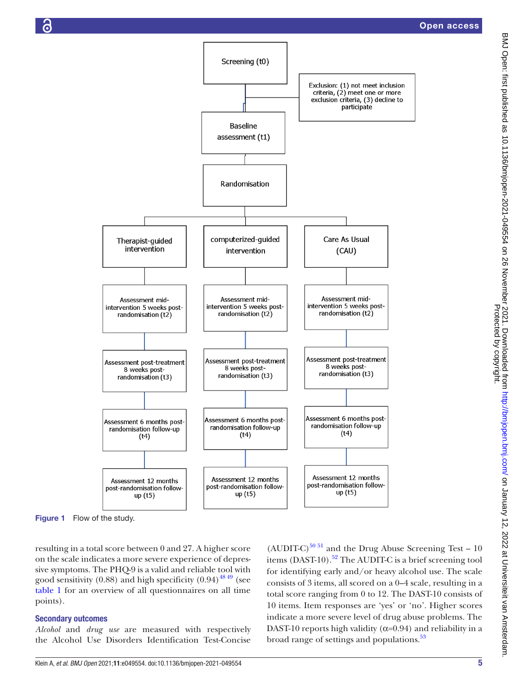

Figure 1 Flow of the study.

resulting in a total score between 0 and 27. A higher score on the scale indicates a more severe experience of depressive symptoms. The PHQ-9 is a valid and reliable tool with good sensitivity  $(0.88)$  and high specificity  $(0.94)$ <sup>48 49</sup> (see [table](#page-6-0) 1 for an overview of all questionnaires on all time points).

#### Secondary outcomes

*Alcohol* and *drug use* are measured with respectively the Alcohol Use Disorders Identification Test-Concise

<span id="page-5-0"></span> $(AUDIT-C)^{5051}$  and the Drug Abuse Screening Test – 10 items  $(DAST-10).$ <sup>52</sup> The AUDIT-C is a brief screening tool for identifying early and/or heavy alcohol use. The scale consists of 3 items, all scored on a 0–4 scale, resulting in a total score ranging from 0 to 12. The DAST-10 consists of 10 items. Item responses are 'yes' or 'no'. Higher scores indicate a more severe level of drug abuse problems. The DAST-10 reports high validity ( $\alpha$ =0.94) and reliability in a broad range of settings and populations.<sup>53</sup>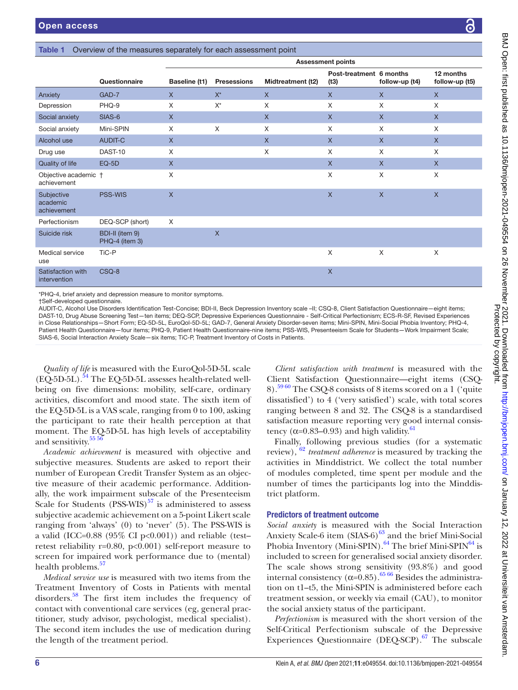|                                       | Questionnaire                     | Baseline (t1)  | <b>Presessions</b> | Midtreatment (t2) | Post-treatment 6 months<br>(t3) | follow-up (t4) | 12 months<br>follow-up (t5) |
|---------------------------------------|-----------------------------------|----------------|--------------------|-------------------|---------------------------------|----------------|-----------------------------|
| Anxiety                               | GAD-7                             | $\mathsf{X}$   | $X^*$              | $\mathsf{X}$      | $\mathsf{X}$                    | $\mathsf{X}$   | $\mathsf{X}$                |
| Depression                            | PHQ-9                             | X              | $X^*$              | X                 | X                               | X              | X                           |
| Social anxiety                        | SIAS-6                            | $\mathsf{X}$   |                    | $\mathsf{X}$      | $\mathsf{X}$                    | $\mathsf{X}$   | $\mathsf{X}$                |
| Social anxiety                        | Mini-SPIN                         | X              | $\times$           | X                 | X                               | X              | X                           |
| Alcohol use                           | AUDIT-C                           | $\mathsf{X}$   |                    | $\mathsf{X}$      | $\mathsf{X}$                    | $\mathsf{X}$   | $\mathsf{X}$                |
| Drug use                              | DAST-10                           | X              |                    | X                 | X                               | X              | X                           |
| Quality of life                       | $EQ-5D$                           | X              |                    |                   | $\mathsf{X}$                    | $\mathsf{X}$   | $\mathsf{X}$                |
| Objective academic +<br>achievement   |                                   | X              |                    |                   | X                               | X              | $\times$                    |
| Subjective<br>academic<br>achievement | PSS-WIS                           | $\overline{X}$ |                    |                   | $\mathsf{X}$                    | $\pmb{\times}$ | $\mathsf{X}$                |
| Perfectionism                         | DEQ-SCP (short)                   | X              |                    |                   |                                 |                |                             |
| Suicide risk                          | BDI-II (item 9)<br>PHQ-4 (item 3) |                | $\times$           |                   |                                 |                |                             |
| Medical service<br>use                | TiC-P                             |                |                    |                   | X                               | X              | X                           |
| Satisfaction with<br>intervention     | CSQ-8                             |                |                    |                   | $\mathsf{X}$                    |                |                             |

<span id="page-6-0"></span>Table 1 Overview of the measures separately for each assessment point

\*PHQ-4, brief anxiety and depression measure to monitor symptoms.

†Self-developed questionnaire.

AUDIT-C, Alcohol Use Disorders Identification Test-Concise; BDI-II, Beck Depression Inventory scale –II; CSQ-8, Client Satisfaction Questionnaire—eight items; DAST-10, Drug Abuse Screening Test—ten items; DEQ-SCP, Depressive Experiences Questionnaire - Self-Critical Perfectionism; ECS-R-SF, Revised Experiences in Close Relationships—Short Form; EQ-5D-5L, EuroQol-5D-5L; GAD-7, General Anxiety Disorder-seven items; Mini-SPIN, Mini-Social Phobia Inventory; PHQ-4, Patient Health Questionnaire—four items; PHQ-9, Patient Health Questionnaire-nine items; PSS-WIS, Presenteeism Scale for Students—Work Impairment Scale; SIAS-6, Social Interaction Anxiety Scale—six items; TiC-P, Treatment Inventory of Costs in Patients.

*Quality of life* is measured with the EuroQol-5D-5L scale  $(EO-5D-5L)$ .<sup>54</sup> The EO-5D-5L assesses health-related wellbeing on five dimensions: mobility, self-care, ordinary activities, discomfort and mood state. The sixth item of the EQ-5D-5L is a VAS scale, ranging from 0 to 100, asking the participant to rate their health perception at that moment. The EQ-5D-5L has high levels of acceptability and sensitivity.<sup>[55 56](#page-9-27)</sup>

*Academic achievement* is measured with objective and subjective measures. Students are asked to report their number of European Credit Transfer System as an objective measure of their academic performance. Additionally, the work impairment subscale of the Presenteeism Scale for Students  $(PSS-WIS)^{57}$  is administered to assess subjective academic achievement on a 5-point Likert scale ranging from 'always' (0) to 'never' (5). The PSS-WIS is a valid (ICC= $0.88$  (95% CI p< $0.001$ )) and reliable (testretest reliability r=0.80, p<0.001) self-report measure to screen for impaired work performance due to (mental) health problems.<sup>57</sup>

*Medical service use* is measured with two items from the Treatment Inventory of Costs in Patients with mental disorders[.58](#page-9-29) The first item includes the frequency of contact with conventional care services (eg, general practitioner, study advisor, psychologist, medical specialist). The second item includes the use of medication during the length of the treatment period.

*Client satisfaction with treatment* is measured with the Client Satisfaction Questionnaire—eight items (CSQ-8)[.59 60](#page-9-30) The CSQ-8 consists of 8 items scored on a 1 ('quite dissatisfied') to 4 ('very satisfied') scale, with total scores ranging between 8 and 32. The CSQ-8 is a standardised satisfaction measure reporting very good internal consistency ( $\alpha$ =0.83–0.93) and high validity.<sup>[61](#page-10-0)</sup>

Finally, following previous studies (for a systematic review), [62](#page-10-1) *treatment adherence* is measured by tracking the activities in Minddistrict. We collect the total number of modules completed, time spent per module and the number of times the participants log into the Minddistrict platform.

#### Predictors of treatment outcome

Assessment points

*Social anxiety* is measured with the Social Interaction Anxiety Scale-6 item  $(SIAS-6)^{63}$  and the brief Mini-Social Phobia Inventory (Mini-SPIN).<sup>64</sup> The brief Mini-SPIN<sup>64</sup> is included to screen for generalised social anxiety disorder. The scale shows strong sensitivity (93.8%) and good internal consistency ( $\alpha$ =0.85).<sup>[65 66](#page-10-4)</sup> Besides the administration on t1–t5, the Mini-SPIN is administered before each treatment session, or weekly via email (CAU), to monitor the social anxiety status of the participant.

*Perfectionism* is measured with the short version of the Self-Critical Perfectionism subscale of the Depressive Experiences Questionnaire (DEQ-SCP). $67$  The subscale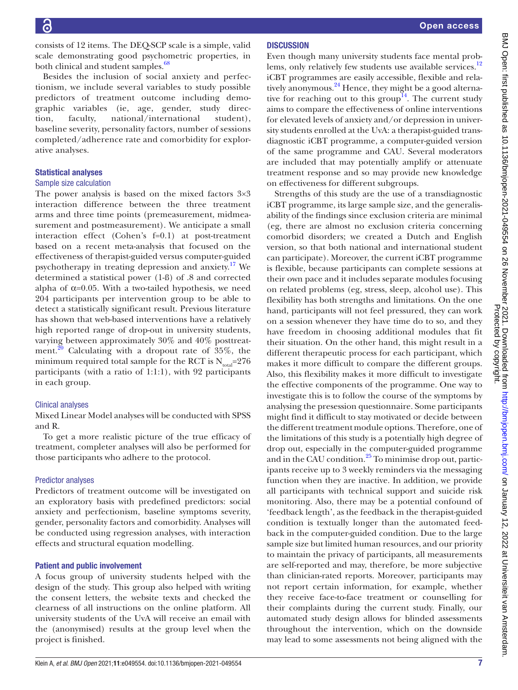consists of 12 items. The DEQ-SCP scale is a simple, valid scale demonstrating good psychometric properties, in both clinical and student samples.<sup>68</sup>

Besides the inclusion of social anxiety and perfectionism, we include several variables to study possible predictors of treatment outcome including demographic variables (ie, age, gender, study direction, faculty, national/international student), baseline severity, personality factors, number of sessions completed/adherence rate and comorbidity for explorative analyses.

#### Statistical analyses

#### Sample size calculation

The power analysis is based on the mixed factors  $3\times3$ interaction difference between the three treatment arms and three time points (premeasurement, midmeasurement and postmeasurement). We anticipate a small interaction effect (Cohen's f=0.1) at post-treatment based on a recent meta-analysis that focused on the effectiveness of therapist-guided versus computer-guided psychotherapy in treating depression and anxiety.[17](#page-9-6) We determined a statistical power (1-ß) of .8 and corrected alpha of  $\alpha$ =0.05. With a two-tailed hypothesis, we need 204 participants per intervention group to be able to detect a statistically significant result. Previous literature has shown that web-based interventions have a relatively high reported range of drop-out in university students, varying between approximately 30% and 40% posttreat-ment.<sup>[20](#page-9-3)</sup> Calculating with a dropout rate of  $35\%$ , the minimum required total sample for the RCT is  $N_{total} = 276$ participants (with a ratio of 1:1:1), with 92 participants in each group.

#### Clinical analyses

Mixed Linear Model analyses will be conducted with SPSS and R.

To get a more realistic picture of the true efficacy of treatment, completer analyses will also be performed for those participants who adhere to the protocol.

#### Predictor analyses

Predictors of treatment outcome will be investigated on an exploratory basis with predefined predictors: social anxiety and perfectionism, baseline symptoms severity, gender, personality factors and comorbidity. Analyses will be conducted using regression analyses, with interaction effects and structural equation modelling.

#### Patient and public involvement

A focus group of university students helped with the design of the study. This group also helped with writing the consent letters, the website texts and checked the clearness of all instructions on the online platform. All university students of the UvA will receive an email with the (anonymised) results at the group level when the project is finished.

Even though many university students face mental prob-lems, only relatively few students use available services.<sup>[12](#page-8-5)</sup> iCBT programmes are easily accessible, flexible and rela-tively anonymous.<sup>[24](#page-9-5)</sup> Hence, they might be a good alterna-tive for reaching out to this group<sup>[14](#page-9-31)</sup>. The current study aims to compare the effectiveness of online interventions for elevated levels of anxiety and/or depression in university students enrolled at the UvA: a therapist-guided transdiagnostic iCBT programme, a computer-guided version of the same programme and CAU. Several moderators are included that may potentially amplify or attenuate treatment response and so may provide new knowledge on effectiveness for different subgroups.

Strengths of this study are the use of a transdiagnostic iCBT programme, its large sample size, and the generalisability of the findings since exclusion criteria are minimal (eg, there are almost no exclusion criteria concerning comorbid disorders; we created a Dutch and English version, so that both national and international student can participate). Moreover, the current iCBT programme is flexible, because participants can complete sessions at their own pace and it includes separate modules focusing on related problems (eg, stress, sleep, alcohol use). This flexibility has both strengths and limitations. On the one hand, participants will not feel pressured, they can work on a session whenever they have time do to so, and they have freedom in choosing additional modules that fit their situation. On the other hand, this might result in a different therapeutic process for each participant, which makes it more difficult to compare the different groups. Also, this flexibility makes it more difficult to investigate the effective components of the programme. One way to investigate this is to follow the course of the symptoms by analysing the presession questionnaire. Some participants might find it difficult to stay motivated or decide between the different treatment module options. Therefore, one of the limitations of this study is a potentially high degree of drop out, especially in the computer-guided programme and in the CAU condition.<sup>[25](#page-9-32)</sup> To minimise drop out, participants receive up to 3 weekly reminders via the messaging function when they are inactive. In addition, we provide all participants with technical support and suicide risk monitoring. Also, there may be a potential confound of 'feedback length', as the feedback in the therapist-guided condition is textually longer than the automated feedback in the computer-guided condition. Due to the large sample size but limited human resources, and our priority to maintain the privacy of participants, all measurements are self-reported and may, therefore, be more subjective than clinician-rated reports. Moreover, participants may not report certain information, for example, whether they receive face-to-face treatment or counselling for their complaints during the current study. Finally, our automated study design allows for blinded assessments throughout the intervention, which on the downside may lead to some assessments not being aligned with the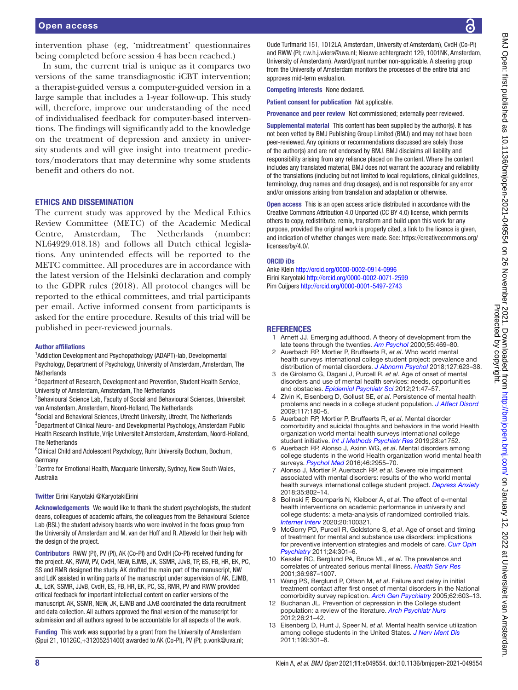intervention phase (eg, 'midtreatment' questionnaires being completed before session 4 has been reached.)

In sum, the current trial is unique as it compares two versions of the same transdiagnostic iCBT intervention; a therapist-guided versus a computer-guided version in a large sample that includes a 1-year follow-up. This study will, therefore, improve our understanding of the need of individualised feedback for computer-based interventions. The findings will significantly add to the knowledge on the treatment of depression and anxiety in university students and will give insight into treatment predictors/moderators that may determine why some students benefit and others do not.

#### ETHICS AND DISSEMINATION

The current study was approved by the Medical Ethics Review Committee (METC) of the Academic Medical Centre, Amsterdam, The Netherlands (number: NL64929.018.18) and follows all Dutch ethical legislations. Any unintended effects will be reported to the METC committee. All procedures are in accordance with the latest version of the Helsinki declaration and comply to the GDPR rules (2018). All protocol changes will be reported to the ethical committees, and trial participants per email. Active informed consent from participants is asked for the entire procedure. Results of this trial will be published in peer-reviewed journals.

#### Author affiliations

<sup>1</sup>Addiction Development and Psychopathology (ADAPT)-lab, Developmental Psychology, Department of Psychology, University of Amsterdam, Amsterdam, The Netherlands

<sup>2</sup>Department of Research, Development and Prevention, Student Health Service, University of Amsterdam, Amsterdam, The Netherlands

<sup>3</sup>Behavioural Science Lab, Faculty of Social and Behavioural Sciences, Universiteit van Amsterdam, Amsterdam, Noord-Holland, The Netherlands

4 Social and Behavioral Sciences, Utrecht University, Utrecht, The Netherlands

5 Department of Clinical Neuro- and Developmental Psychology, Amsterdam Public Health Research Institute, Vrije Universiteit Amsterdam, Amsterdam, Noord-Holland, The Netherlands

<sup>6</sup>Clinical Child and Adolescent Psychology, Ruhr University Bochum, Bochum, Germany

<sup>7</sup> Centre for Emotional Health, Macquarie University, Sydney, New South Wales, Australia

#### Twitter Eirini Karyotaki [@KaryotakiEirini](https://twitter.com/KaryotakiEirini)

Acknowledgements We would like to thank the student psychologists, the student deans, colleagues of academic affairs, the colleagues from the Behavioural Science Lab (BSL) the student advisory boards who were involved in the focus group from the University of Amsterdam and M. van der Hoff and R. Atteveld for their help with the design of the project.

Contributors RWW (PI), PV (PI), AK (Co-PI) and CvdH (Co-PI) received funding for the project. AK, RWW, PV, CvdH, NEW, EJMB, JK, SSMR, JJvB, TP, ES, FB, HR, EK, PC, SS and RMR designed the study. AK drafted the main part of the manuscript, NW and LdK assisted in writing parts of the manuscript under supervision of AK. EJMB, JL, LdK, SSMR, JJvB, CvdH, ES, FB, HR, EK, PC, SS, RMR, PV and RWW provided critical feedback for important intellectual content on earlier versions of the manuscript. AK, SSMR, NEW, JK, EJMB and JJvB coordinated the data recruitment and data collection. All authors approved the final version of the manuscript for submission and all authors agreed to be accountable for all aspects of the work.

Funding This work was supported by a grant from the University of Amsterdam (Spui 21, 1012GC,+31205251400) awarded to AK (Co-PI), PV (PI; p.vonk@uva.nl;

Oude Turfmarkt 151, 1012LA, Amsterdam, University of Amsterdam), CvdH (Co-PI) and RWW (PI; r.w.h.j.wiers@uva.nl; Nieuwe achtergracht 129, 1001NK, Amsterdam, University of Amsterdam). Award/grant number non-applicable. A steering group from the University of Amsterdam monitors the processes of the entire trial and approves mid-term evaluation.

Competing interests None declared.

Patient consent for publication Not applicable.

Provenance and peer review Not commissioned; externally peer reviewed.

Supplemental material This content has been supplied by the author(s). It has not been vetted by BMJ Publishing Group Limited (BMJ) and may not have been peer-reviewed. Any opinions or recommendations discussed are solely those of the author(s) and are not endorsed by BMJ. BMJ disclaims all liability and responsibility arising from any reliance placed on the content. Where the content includes any translated material, BMJ does not warrant the accuracy and reliability of the translations (including but not limited to local regulations, clinical guidelines, terminology, drug names and drug dosages), and is not responsible for any error and/or omissions arising from translation and adaptation or otherwise.

Open access This is an open access article distributed in accordance with the Creative Commons Attribution 4.0 Unported (CC BY 4.0) license, which permits others to copy, redistribute, remix, transform and build upon this work for any purpose, provided the original work is properly cited, a link to the licence is given, and indication of whether changes were made. See: [https://creativecommons.org/](https://creativecommons.org/licenses/by/4.0/) [licenses/by/4.0/](https://creativecommons.org/licenses/by/4.0/).

#### ORCID iDs

Anke Klein<http://orcid.org/0000-0002-0914-0996> Eirini Karyotaki<http://orcid.org/0000-0002-0071-2599> Pim Cuijpers <http://orcid.org/0000-0001-5497-2743>

#### **REFERENCES**

- <span id="page-8-0"></span>Arnett JJ. Emerging adulthood. A theory of development from the late teens through the twenties. *[Am Psychol](http://www.ncbi.nlm.nih.gov/pubmed/10842426)* 2000;55:469–80.
- <span id="page-8-1"></span>2 Auerbach RP, Mortier P, Bruffaerts R, *et al*. Who world mental health surveys international college student project: prevalence and distribution of mental disorders. *[J Abnorm Psychol](http://dx.doi.org/10.1037/abn0000362)* 2018;127:623–38.
- 3 de Girolamo G, Dagani J, Purcell R, *et al*. Age of onset of mental disorders and use of mental health services: needs, opportunities and obstacles. *[Epidemiol Psychiatr Sci](http://dx.doi.org/10.1017/s2045796011000746)* 2012;21:47–57.
- 4 Zivin K, Eisenberg D, Gollust SE, *et al*. Persistence of mental health problems and needs in a college student population. *[J Affect Disord](http://dx.doi.org/10.1016/j.jad.2009.01.001)* 2009;117:180–5.
- <span id="page-8-2"></span>5 Auerbach RP, Mortier P, Bruffaerts R, *et al*. Mental disorder comorbidity and suicidal thoughts and behaviors in the world Health organization world mental health surveys international college student initiative. *[Int J Methods Psychiatr Res](http://dx.doi.org/10.1002/mpr.1752)* 2019;28:e1752.
- <span id="page-8-3"></span>6 Auerbach RP, Alonso J, Axinn WG, *et al*. Mental disorders among college students in the world Health organization world mental health surveys. *[Psychol Med](http://dx.doi.org/10.1017/S0033291716001665)* 2016;46:2955–70.
- 7 Alonso J, Mortier P, Auerbach RP, *et al*. Severe role impairment associated with mental disorders: results of the who world mental health surveys international college student project. *[Depress Anxiety](http://dx.doi.org/10.1002/da.22778)* 2018;35:802–14.
- 8 Bolinski F, Boumparis N, Kleiboer A, *et al*. The effect of e-mental health interventions on academic performance in university and college students: a meta-analysis of randomized controlled trials. *[Internet Interv](http://dx.doi.org/10.1016/j.invent.2020.100321)* 2020;20:100321.
- 9 McGorry PD, Purcell R, Goldstone S, *et al*. Age of onset and timing of treatment for mental and substance use disorders: implications for preventive intervention strategies and models of care. *[Curr Opin](http://dx.doi.org/10.1097/YCO.0b013e3283477a09)  [Psychiatry](http://dx.doi.org/10.1097/YCO.0b013e3283477a09)* 2011;24:301–6.
- 10 Kessler RC, Berglund PA, Bruce ML, *et al*. The prevalence and correlates of untreated serious mental illness. *[Health Serv Res](http://www.ncbi.nlm.nih.gov/pubmed/11775672)* 2001;36:987–1007.
- <span id="page-8-4"></span>11 Wang PS, Berglund P, Olfson M, *et al*. Failure and delay in initial treatment contact after first onset of mental disorders in the National comorbidity survey replication. *[Arch Gen Psychiatry](http://dx.doi.org/10.1001/archpsyc.62.6.603)* 2005;62:603–13.
- <span id="page-8-5"></span>12 Buchanan JL. Prevention of depression in the College student population: a review of the literature. *[Arch Psychiatr Nurs](http://dx.doi.org/10.1016/j.apnu.2011.03.003)* 2012;26:21–42.
- <span id="page-8-6"></span>13 Eisenberg D, Hunt J, Speer N, *et al*. Mental health service utilization among college students in the United States. *[J Nerv Ment Dis](http://dx.doi.org/10.1097/NMD.0b013e3182175123)* 2011;199:301–8.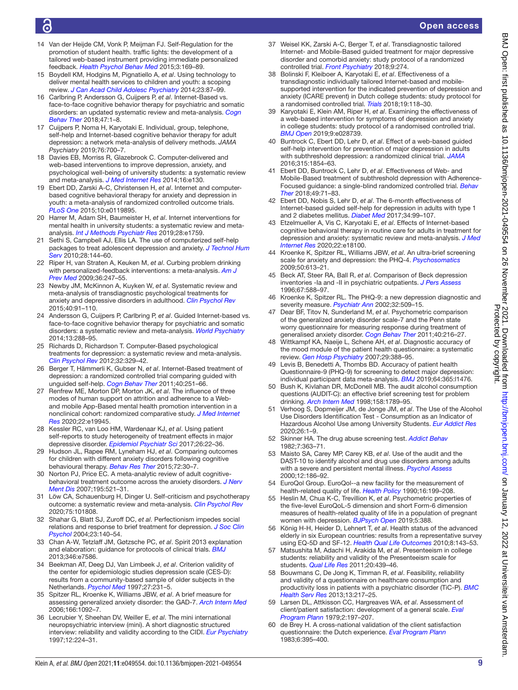# G

#### Open access

- <span id="page-9-31"></span>14 Van der Heijde CM, Vonk P, Meijman FJ. Self-Regulation for the promotion of student health. traffic lights: the development of a tailored web-based instrument providing immediate personalized feedback. *[Health Psychol Behav Med](http://dx.doi.org/10.1080/21642850.2015.1049950)* 2015;3:169–89.
- <span id="page-9-0"></span>15 Boydell KM, Hodgins M, Pignatiello A, *et al*. Using technology to deliver mental health services to children and youth: a scoping review. *[J Can Acad Child Adolesc Psychiatry](http://www.ncbi.nlm.nih.gov/pubmed/24872824)* 2014;23:87–99.
- <span id="page-9-1"></span>16 Carlbring P, Andersson G, Cuijpers P, *et al*. Internet-Based vs. face-to-face cognitive behavior therapy for psychiatric and somatic disorders: an updated systematic review and meta-analysis. *[Cogn](http://dx.doi.org/10.1080/16506073.2017.1401115)  [Behav Ther](http://dx.doi.org/10.1080/16506073.2017.1401115)* 2018;47:1–8.
- <span id="page-9-6"></span>17 Cuijpers P, Noma H, Karyotaki E. Individual, group, telephone, self-help and Internet-based cognitive behavior therapy for adult depression: a network meta-analysis of delivery methods. *JAMA Psychiatry* 2019;76:700–7.
- <span id="page-9-2"></span>18 Davies EB, Morriss R, Glazebrook C. Computer-delivered and web-based interventions to improve depression, anxiety, and psychological well-being of university students: a systematic review and meta-analysis. *[J Med Internet Res](http://dx.doi.org/10.2196/jmir.3142)* 2014;16:e130.
- 19 Ebert DD, Zarski A-C, Christensen H, *et al*. Internet and computerbased cognitive behavioral therapy for anxiety and depression in youth: a meta-analysis of randomized controlled outcome trials. *[PLoS One](http://dx.doi.org/10.1371/journal.pone.0119895)* 2015;10:e0119895.
- <span id="page-9-3"></span>20 Harrer M, Adam SH, Baumeister H, *et al*. Internet interventions for mental health in university students: a systematic review and metaanalysis. *[Int J Methods Psychiatr Res](http://dx.doi.org/10.1002/mpr.1759)* 2019;28:e1759.
- 21 Sethi S, Campbell AJ, Ellis LA. The use of computerized self-help packages to treat adolescent depression and anxiety. *[J Technol Hum](http://dx.doi.org/10.1080/15228835.2010.508317)  [Serv](http://dx.doi.org/10.1080/15228835.2010.508317)* 2010;28:144–60.
- 22 Riper H, van Straten A, Keuken M, *et al*. Curbing problem drinking with personalized-feedback interventions: a meta-analysis. *[Am J](http://dx.doi.org/10.1016/j.amepre.2008.10.016)  [Prev Med](http://dx.doi.org/10.1016/j.amepre.2008.10.016)* 2009;36:247–55.
- <span id="page-9-4"></span>23 Newby JM, McKinnon A, Kuyken W, *et al*. Systematic review and meta-analysis of transdiagnostic psychological treatments for anxiety and depressive disorders in adulthood. *[Clin Psychol Rev](http://dx.doi.org/10.1016/j.cpr.2015.06.002)* 2015;40:91–110.
- <span id="page-9-5"></span>24 Andersson G, Cuijpers P, Carlbring P, *et al*. Guided Internet-based vs. face-to-face cognitive behavior therapy for psychiatric and somatic disorders: a systematic review and meta-analysis. *[World Psychiatry](http://dx.doi.org/10.1002/wps.20151)* 2014;13:288–95.
- <span id="page-9-32"></span>25 Richards D, Richardson T. Computer-Based psychological treatments for depression: a systematic review and meta-analysis. *[Clin Psychol Rev](http://dx.doi.org/10.1016/j.cpr.2012.02.004)* 2012;32:329–42.
- 26 Berger T, Hämmerli K, Gubser N, *et al*. Internet-Based treatment of depression: a randomized controlled trial comparing guided with unguided self-help. *[Cogn Behav Ther](http://dx.doi.org/10.1080/16506073.2011.616531)* 2011;40:251–66.
- 27 Renfrew ME, Morton DP, Morton JK, *et al*. The influence of three modes of human support on attrition and adherence to a Weband mobile App-Based mental health promotion intervention in a nonclinical cohort: randomized comparative study. *[J Med Internet](http://dx.doi.org/10.2196/19945)  [Res](http://dx.doi.org/10.2196/19945)* 2020;22:e19945.
- 28 Kessler RC, van Loo HM, Wardenaar KJ, *et al*. Using patient self-reports to study heterogeneity of treatment effects in major depressive disorder. *[Epidemiol Psychiatr Sci](http://dx.doi.org/10.1017/S2045796016000020)* 2017;26:22–36.
- <span id="page-9-7"></span>29 Hudson JL, Rapee RM, Lyneham HJ, *et al*. Comparing outcomes for children with different anxiety disorders following cognitive behavioural therapy. *[Behav Res Ther](http://dx.doi.org/10.1016/j.brat.2015.06.007)* 2015;72:30–7.
- 30 Norton PJ, Price EC. A meta-analytic review of adult cognitivebehavioral treatment outcome across the anxiety disorders. *[J Nerv](http://dx.doi.org/10.1097/01.nmd.0000253843.70149.9a)  [Ment Dis](http://dx.doi.org/10.1097/01.nmd.0000253843.70149.9a)* 2007;195:521–31.
- <span id="page-9-8"></span>31 Löw CA, Schauenburg H, Dinger U. Self-criticism and psychotherapy outcome: a systematic review and meta-analysis. *[Clin Psychol Rev](http://dx.doi.org/10.1016/j.cpr.2019.101808)* 2020;75:101808.
- <span id="page-9-9"></span>32 Shahar G, Blatt SJ, Zuroff DC, *et al*. Perfectionism impedes social relations and response to brief treatment for depression. *[J Soc Clin](http://dx.doi.org/10.1521/jscp.23.2.140.31017)  [Psychol](http://dx.doi.org/10.1521/jscp.23.2.140.31017)* 2004;23:140–54.
- <span id="page-9-10"></span>33 Chan A-W, Tetzlaff JM, Gøtzsche PC, *et al*. Spirit 2013 explanation and elaboration: guidance for protocols of clinical trials. *[BMJ](http://dx.doi.org/10.1136/bmj.e7586)* 2013;346:e7586.
- <span id="page-9-11"></span>34 Beekman AT, Deeg DJ, Van Limbeek J, *et al*. Criterion validity of the center for epidemiologic studies depression scale (CES-D): results from a community-based sample of older subjects in the Netherlands. *[Psychol Med](http://dx.doi.org/10.1017/s0033291796003510)* 1997;27:231–5.
- <span id="page-9-12"></span>35 Spitzer RL, Kroenke K, Williams JBW, *et al*. A brief measure for assessing generalized anxiety disorder: the GAD-7. *[Arch Intern Med](http://dx.doi.org/10.1001/archinte.166.10.1092)* 2006;166:1092–7.
- <span id="page-9-13"></span>36 Lecrubier Y, Sheehan DV, Weiller E, *et al*. The mini international neuropsychiatric interview (mini). A short diagnostic structured interview: reliability and validity according to the CIDI. *[Eur Psychiatry](http://dx.doi.org/10.1016/S0924-9338(97)83296-8)* 1997;12:224–31.
- <span id="page-9-14"></span>37 Weisel KK, Zarski A-C, Berger T, *et al*. Transdiagnostic tailored Internet- and Mobile-Based guided treatment for major depressive disorder and comorbid anxiety: study protocol of a randomized controlled trial. *[Front Psychiatry](http://dx.doi.org/10.3389/fpsyt.2018.00274)* 2018;9:274.
- <span id="page-9-15"></span>38 Bolinski F, Kleiboer A, Karyotaki E, *et al*. Effectiveness of a transdiagnostic individually tailored Internet-based and mobilesupported intervention for the indicated prevention of depression and anxiety (ICARE prevent) in Dutch college students: study protocol for a randomised controlled trial. *[Trials](http://dx.doi.org/10.1186/s13063-018-2477-y)* 2018;19:118–30.
- <span id="page-9-16"></span>39 Karyotaki E, Klein AM, Riper H, *et al*. Examining the effectiveness of a web-based intervention for symptoms of depression and anxiety in college students: study protocol of a randomised controlled trial. *[BMJ Open](http://dx.doi.org/10.1136/bmjopen-2018-028739)* 2019;9:e028739.
- <span id="page-9-17"></span>40 Buntrock C, Ebert DD, Lehr D, *et al*. Effect of a web-based guided self-help intervention for prevention of major depression in adults with subthreshold depression: a randomized clinical trial. *[JAMA](http://dx.doi.org/10.1001/jama.2016.4326)* 2016;315:1854–63.
- 41 Ebert DD, Buntrock C, Lehr D, *et al*. Effectiveness of Web- and Mobile-Based treatment of subthreshold depression with Adherence-Focused guidance: a single-blind randomized controlled trial. *[Behav](http://dx.doi.org/10.1016/j.beth.2017.05.004)  [Ther](http://dx.doi.org/10.1016/j.beth.2017.05.004)* 2018;49:71–83.
- 42 Ebert DD, Nobis S, Lehr D, *et al*. The 6-month effectiveness of Internet-based guided self-help for depression in adults with type 1 and 2 diabetes mellitus. *[Diabet Med](http://dx.doi.org/10.1111/dme.13173)* 2017;34:99–107.
- 43 Etzelmueller A, Vis C, Karyotaki E, *et al*. Effects of Internet-based cognitive behavioral therapy in routine care for adults in treatment for depression and anxiety: systematic review and meta-analysis. *[J Med](http://dx.doi.org/10.2196/18100)  [Internet Res](http://dx.doi.org/10.2196/18100)* 2020;22:e18100.
- <span id="page-9-18"></span>44 Kroenke K, Spitzer RL, Williams JBW, *et al*. An ultra-brief screening scale for anxiety and depression: the PHQ-4. *[Psychosomatics](http://dx.doi.org/10.1176/appi.psy.50.6.613)* 2009;50:613–21.
- <span id="page-9-19"></span>45 Beck AT, Steer RA, Ball R, *et al*. Comparison of Beck depression inventories -Ia and -II in psychiatric outpatients. *[J Pers Assess](http://dx.doi.org/10.1207/s15327752jpa6703_13)* 1996;67:588–97.
- <span id="page-9-20"></span>46 Kroenke K, Spitzer RL. The PHQ-9: a new depression diagnostic and severity measure. *[Psychiatr Ann](http://dx.doi.org/10.3928/0048-5713-20020901-06)* 2002;32:509–15.
- <span id="page-9-21"></span>47 Dear BF, Titov N, Sunderland M, *et al*. Psychometric comparison of the generalized anxiety disorder scale-7 and the Penn state worry questionnaire for measuring response during treatment of generalised anxiety disorder. *[Cogn Behav Ther](http://dx.doi.org/10.1080/16506073.2011.582138)* 2011;40:216–27.
- <span id="page-9-22"></span>48 Wittkampf KA, Naeije L, Schene AH, *et al*. Diagnostic accuracy of the mood module of the patient health questionnaire: a systematic review. *[Gen Hosp Psychiatry](http://dx.doi.org/10.1016/j.genhosppsych.2007.06.004)* 2007;29:388–95.
- 49 Levis B, Benedetti A, Thombs BD. Accuracy of patient health Questionnaire-9 (PHQ-9) for screening to detect major depression: individual participant data meta-analysis. *[BMJ](http://dx.doi.org/10.1136/bmj.l1476)* 2019;64:365:l1476.
- <span id="page-9-23"></span>50 Bush K, Kivlahan DR, McDonell MB. The audit alcohol consumption questions (AUDIT-C): an effective brief screening test for problem drinking. *[Arch Intern Med](http://dx.doi.org/10.1001/archinte.158.16.1789)* 1998;158:1789–95.
- 51 Verhoog S, Dopmeijer JM, de Jonge JM, *et al*. The Use of the Alcohol Use Disorders Identification Test - Consumption as an Indicator of Hazardous Alcohol Use among University Students. *[Eur Addict Res](http://dx.doi.org/10.1159/000503342)* 2020;26:1–9.
- <span id="page-9-24"></span>52 Skinner HA. The drug abuse screening test. *[Addict Behav](http://dx.doi.org/10.1016/0306-4603(82)90005-3)* 1982;7:363–71.
- <span id="page-9-25"></span>53 Maisto SA, Carey MP, Carey KB, *et al*. Use of the audit and the DAST-10 to identify alcohol and drug use disorders among adults with a severe and persistent mental illness. *[Psychol Assess](http://dx.doi.org/10.1037//1040-3590.12.2.186)* 2000;12:186–92.
- <span id="page-9-26"></span>54 EuroQol Group. EuroQol--a new facility for the measurement of health-related quality of life. *[Health Policy](http://dx.doi.org/10.1016/0168-8510(90)90421-9)* 1990;16:199–208.
- <span id="page-9-27"></span>55 Heslin M, Chua K-C, Trevillion K, *et al*. Psychometric properties of the five-level EuroQoL-5 dimension and short Form-6 dimension measures of health-related quality of life in a population of pregnant women with depression. *[BJPsych Open](http://dx.doi.org/10.1192/bjo.2019.71)* 2019;5:388.
- 56 König H-H, Heider D, Lehnert T, *et al*. Health status of the advanced elderly in six European countries: results from a representative survey using EQ-5D and SF-12. *[Health Qual Life Outcomes](http://dx.doi.org/10.1186/1477-7525-8-143)* 2010;8:143–53.
- <span id="page-9-28"></span>57 Matsushita M, Adachi H, Arakida M, *et al*. Presenteeism in college students: reliability and validity of the Presenteeism scale for students. *[Qual Life Res](http://dx.doi.org/10.1007/s11136-010-9763-9)* 2011;20:439–46.
- <span id="page-9-29"></span>58 Bouwmans C, De Jong K, Timman R, *et al*. Feasibility, reliability and validity of a questionnaire on healthcare consumption and productivity loss in patients with a psychiatric disorder (TiC-P). *[BMC](http://dx.doi.org/10.1186/1472-6963-13-217)  [Health Serv Res](http://dx.doi.org/10.1186/1472-6963-13-217)* 2013;13:217–25.
- <span id="page-9-30"></span>59 Larsen DL, Attkisson CC, Hargreaves WA, *et al*. Assessment of client/patient satisfaction: development of a general scale. *[Eval](http://dx.doi.org/10.1016/0149-7189(79)90094-6)  [Program Plann](http://dx.doi.org/10.1016/0149-7189(79)90094-6)* 1979;2:197–207.
- 60 de Brey H. A cross-national validation of the client satisfaction questionnaire: the Dutch experience. *[Eval Program Plann](http://dx.doi.org/10.1016/0149-7189(83)90018-6)* 1983;6:395–400.